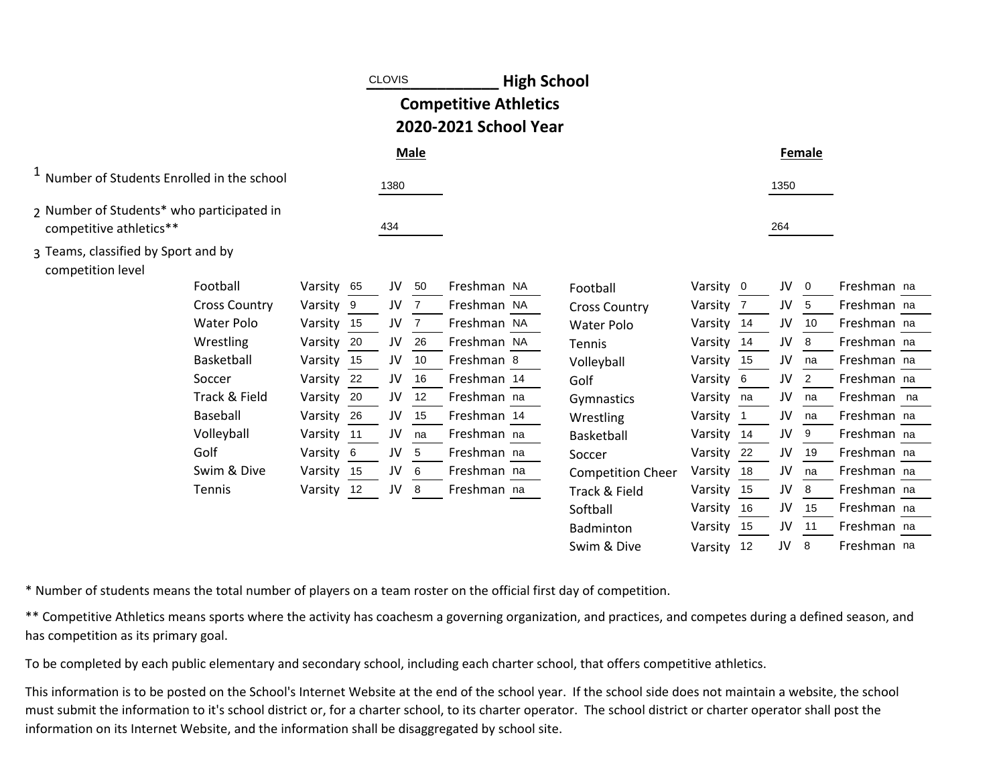|                                                                      |                      |            |    | <b>CLOVIS</b> |             | <b>High School</b>                                    |                          |            |                            |      |        |             |  |
|----------------------------------------------------------------------|----------------------|------------|----|---------------|-------------|-------------------------------------------------------|--------------------------|------------|----------------------------|------|--------|-------------|--|
|                                                                      |                      |            |    |               |             | <b>Competitive Athletics</b><br>2020-2021 School Year |                          |            |                            |      |        |             |  |
|                                                                      |                      |            |    |               | <b>Male</b> |                                                       |                          |            |                            |      | Female |             |  |
| <sup>1</sup> Number of Students Enrolled in the school               |                      |            |    | 1380          |             |                                                       |                          |            |                            | 1350 |        |             |  |
| 2 Number of Students* who participated in<br>competitive athletics** |                      |            |    | 434           |             |                                                       |                          |            |                            | 264  |        |             |  |
| 3 Teams, classified by Sport and by<br>competition level             |                      |            |    |               |             |                                                       |                          |            |                            |      |        |             |  |
|                                                                      | Football             | Varsity    | 65 | JV            | 50          | Freshman NA                                           | Football                 | Varsity 0  |                            | JV   | 0      | Freshman na |  |
|                                                                      | <b>Cross Country</b> | Varsity 9  |    | JV            | 7           | Freshman NA                                           | <b>Cross Country</b>     | Varsity    | - 7                        | JV   | 5      | Freshman na |  |
|                                                                      | <b>Water Polo</b>    | Varsity    | 15 | JV            |             | Freshman NA                                           | <b>Water Polo</b>        | Varsity 14 |                            | JV   | 10     | Freshman na |  |
|                                                                      | Wrestling            | Varsity    | 20 | JV            | 26          | Freshman NA                                           | Tennis                   | Varsity    | - 14                       | JV   | 8      | Freshman na |  |
|                                                                      | Basketball           | Varsity    | 15 | JV            | 10          | Freshman 8                                            | Volleyball               | Varsity    | 15                         | JV   | na     | Freshman na |  |
|                                                                      | Soccer               | Varsity    | 22 | JV            | 16          | Freshman 14                                           | Golf                     | Varsity    | - 6                        | JV   | 2      | Freshman na |  |
|                                                                      | Track & Field        | Varsity    | 20 | JV            | 12          | Freshman na                                           | Gymnastics               | Varsity    | na                         | JV   | na     | Freshman na |  |
|                                                                      | Baseball             | Varsity    | 26 | JV            | 15          | Freshman 14                                           | Wrestling                | Varsity    | $\overline{\phantom{0}}$ 1 | JV   | na     | Freshman na |  |
|                                                                      | Volleyball           | Varsity    | 11 | JV            | na          | Freshman na                                           | Basketball               | Varsity 14 |                            | JV   | 9      | Freshman na |  |
|                                                                      | Golf                 | Varsity    | 6  | JV            | 5           | Freshman na                                           | Soccer                   | Varsity    | 22                         | JV   | 19     | Freshman na |  |
|                                                                      | Swim & Dive          | Varsity    | 15 | JV            | 6           | Freshman na                                           | <b>Competition Cheer</b> | Varsity    | 18                         | JV   | na     | Freshman na |  |
|                                                                      | Tennis               | Varsity 12 |    | JV            | 8           | Freshman na                                           | Track & Field            | Varsity    | 15                         | JV   | 8      | Freshman na |  |
|                                                                      |                      |            |    |               |             |                                                       | Softball                 | Varsity    | 16                         | JV   | 15     | Freshman na |  |
|                                                                      |                      |            |    |               |             |                                                       | Badminton                | Varsity    | 15                         | JV   | 11     | Freshman na |  |
|                                                                      |                      |            |    |               |             |                                                       | Swim & Dive              | Varsity    | 12                         | JV   | 8      | Freshman na |  |
|                                                                      |                      |            |    |               |             |                                                       |                          |            |                            |      |        |             |  |

\* Number of students means the total number of players on a team roster on the official first day of competition.

\*\* Competitive Athletics means sports where the activity has coachesm a governing organization, and practices, and competes during a defined season, and has competition as its primary goal.

To be completed by each public elementary and secondary school, including each charter school, that offers competitive athletics.

This information is to be posted on the School's Internet Website at the end of the school year. If the school side does not maintain a website, the school must submit the information to it's school district or, for a charter school, to its charter operator. The school district or charter operator shall post the information on its Internet Website, and the information shall be disaggregated by school site.